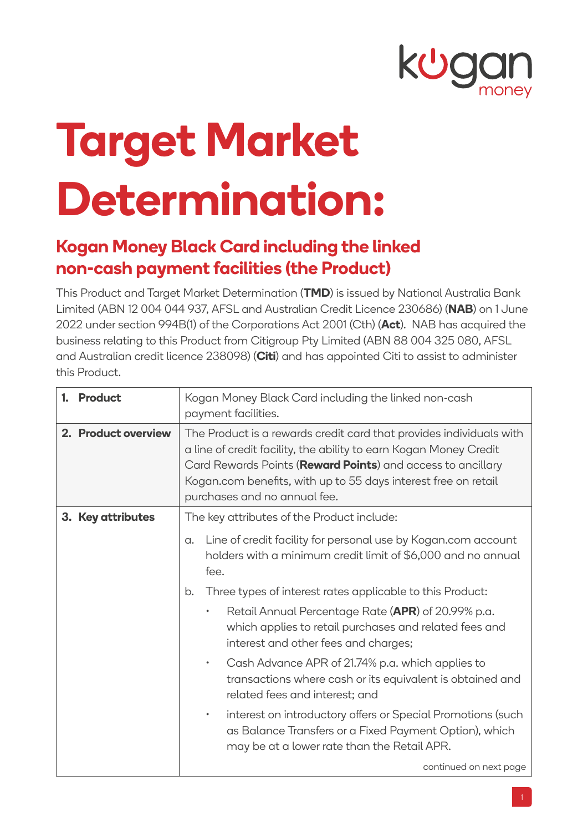

## **Target Market Determination:**

## **Kogan Money Black Card including the linked non-cash payment facilities (the Product)**

This Product and Target Market Determination (**TMD**) is issued by National Australia Bank Limited (ABN 12 004 044 937, AFSL and Australian Credit Licence 230686) (**NAB**) on 1 June 2022 under section 994B(1) of the Corporations Act 2001 (Cth) (**Act**). NAB has acquired the business relating to this Product from Citigroup Pty Limited (ABN 88 004 325 080, AFSL and Australian credit licence 238098) (**Citi**) and has appointed Citi to assist to administer this Product.

| 1. Product          | Kogan Money Black Card including the linked non-cash<br>payment facilities.                                                                                                                                                                                                                               |  |  |
|---------------------|-----------------------------------------------------------------------------------------------------------------------------------------------------------------------------------------------------------------------------------------------------------------------------------------------------------|--|--|
| 2. Product overview | The Product is a rewards credit card that provides individuals with<br>a line of credit facility, the ability to earn Kogan Money Credit<br>Card Rewards Points (Reward Points) and access to ancillary<br>Kogan.com benefits, with up to 55 days interest free on retail<br>purchases and no annual fee. |  |  |
| 3. Key attributes   | The key attributes of the Product include:                                                                                                                                                                                                                                                                |  |  |
|                     | Line of credit facility for personal use by Kogan.com account<br>$\alpha$ .<br>holders with a minimum credit limit of \$6,000 and no annual<br>fee.                                                                                                                                                       |  |  |
|                     | Three types of interest rates applicable to this Product:<br>b.                                                                                                                                                                                                                                           |  |  |
|                     | Retail Annual Percentage Rate (APR) of 20.99% p.a.<br>which applies to retail purchases and related fees and<br>interest and other fees and charges;                                                                                                                                                      |  |  |
|                     | Cash Advance APR of 21.74% p.a. which applies to<br>transactions where cash or its equivalent is obtained and<br>related fees and interest; and                                                                                                                                                           |  |  |
|                     | interest on introductory offers or Special Promotions (such<br>as Balance Transfers or a Fixed Payment Option), which<br>may be at a lower rate than the Retail APR.                                                                                                                                      |  |  |
|                     | continued on next page                                                                                                                                                                                                                                                                                    |  |  |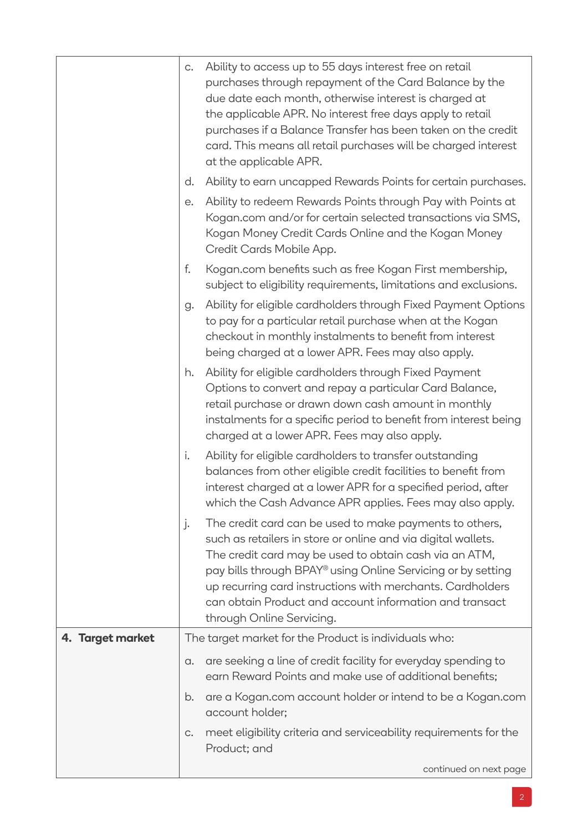|                       | $\mathsf{C}.$                                         | Ability to access up to 55 days interest free on retail<br>purchases through repayment of the Card Balance by the<br>due date each month, otherwise interest is charged at<br>the applicable APR. No interest free days apply to retail<br>purchases if a Balance Transfer has been taken on the credit                                                                                                  |
|-----------------------|-------------------------------------------------------|----------------------------------------------------------------------------------------------------------------------------------------------------------------------------------------------------------------------------------------------------------------------------------------------------------------------------------------------------------------------------------------------------------|
|                       |                                                       | card. This means all retail purchases will be charged interest<br>at the applicable APR.                                                                                                                                                                                                                                                                                                                 |
|                       | d.                                                    | Ability to earn uncapped Rewards Points for certain purchases.                                                                                                                                                                                                                                                                                                                                           |
|                       | е.                                                    | Ability to redeem Rewards Points through Pay with Points at<br>Kogan.com and/or for certain selected transactions via SMS,<br>Kogan Money Credit Cards Online and the Kogan Money<br>Credit Cards Mobile App.                                                                                                                                                                                            |
|                       | f.                                                    | Kogan.com benefits such as free Kogan First membership,<br>subject to eligibility requirements, limitations and exclusions.                                                                                                                                                                                                                                                                              |
|                       | g.                                                    | Ability for eligible cardholders through Fixed Payment Options<br>to pay for a particular retail purchase when at the Kogan<br>checkout in monthly instalments to benefit from interest<br>being charged at a lower APR. Fees may also apply.                                                                                                                                                            |
|                       | h.                                                    | Ability for eligible cardholders through Fixed Payment<br>Options to convert and repay a particular Card Balance,<br>retail purchase or drawn down cash amount in monthly<br>instalments for a specific period to benefit from interest being<br>charged at a lower APR. Fees may also apply.                                                                                                            |
|                       | i.                                                    | Ability for eligible cardholders to transfer outstanding<br>balances from other eligible credit facilities to benefit from<br>interest charged at a lower APR for a specified period, after<br>which the Cash Advance APR applies. Fees may also apply.                                                                                                                                                  |
|                       | j.                                                    | The credit card can be used to make payments to others,<br>such as retailers in store or online and via digital wallets.<br>The credit card may be used to obtain cash via an ATM,<br>pay bills through BPAY® using Online Servicing or by setting<br>up recurring card instructions with merchants. Cardholders<br>can obtain Product and account information and transact<br>through Online Servicing. |
| 4. Target market      | The target market for the Product is individuals who: |                                                                                                                                                                                                                                                                                                                                                                                                          |
|                       | a.                                                    | are seeking a line of credit facility for everyday spending to<br>earn Reward Points and make use of additional benefits;                                                                                                                                                                                                                                                                                |
| b.<br>account holder; |                                                       | are a Kogan.com account holder or intend to be a Kogan.com                                                                                                                                                                                                                                                                                                                                               |
|                       | C.                                                    | meet eligibility criteria and serviceability requirements for the<br>Product; and                                                                                                                                                                                                                                                                                                                        |
|                       |                                                       | continued on next page                                                                                                                                                                                                                                                                                                                                                                                   |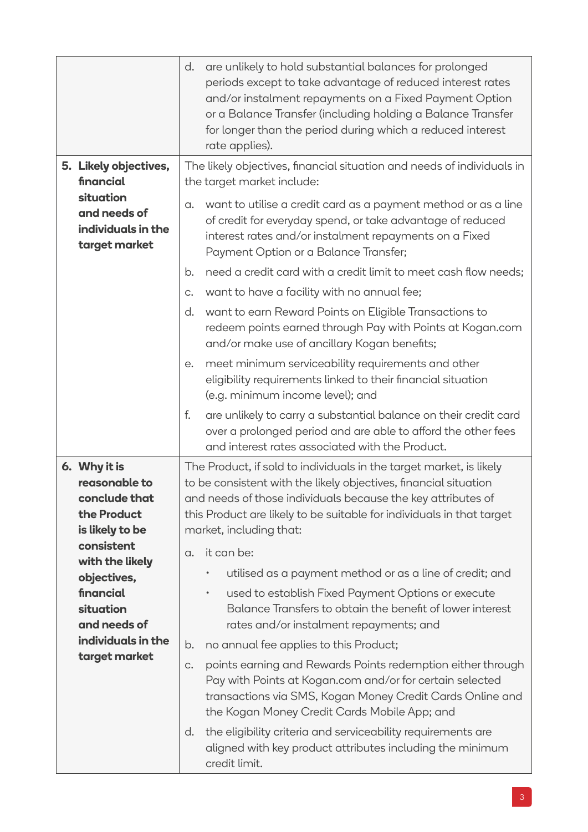|  |                                                                                                                   | d.                                                                                                   | are unlikely to hold substantial balances for prolonged<br>periods except to take advantage of reduced interest rates<br>and/or instalment repayments on a Fixed Payment Option<br>or a Balance Transfer (including holding a Balance Transfer<br>for longer than the period during which a reduced interest<br>rate applies). |  |
|--|-------------------------------------------------------------------------------------------------------------------|------------------------------------------------------------------------------------------------------|--------------------------------------------------------------------------------------------------------------------------------------------------------------------------------------------------------------------------------------------------------------------------------------------------------------------------------|--|
|  | 5. Likely objectives,<br>financial<br>situation<br>and needs of<br>individuals in the<br>target market            | The likely objectives, financial situation and needs of individuals in<br>the target market include: |                                                                                                                                                                                                                                                                                                                                |  |
|  |                                                                                                                   | $\alpha$ .                                                                                           | want to utilise a credit card as a payment method or as a line<br>of credit for everyday spend, or take advantage of reduced<br>interest rates and/or instalment repayments on a Fixed<br>Payment Option or a Balance Transfer;                                                                                                |  |
|  |                                                                                                                   | b.                                                                                                   | need a credit card with a credit limit to meet cash flow needs;                                                                                                                                                                                                                                                                |  |
|  |                                                                                                                   | $C_{\bullet}$                                                                                        | want to have a facility with no annual fee;                                                                                                                                                                                                                                                                                    |  |
|  |                                                                                                                   | d.                                                                                                   | want to earn Reward Points on Eligible Transactions to<br>redeem points earned through Pay with Points at Kogan.com<br>and/or make use of ancillary Kogan benefits;                                                                                                                                                            |  |
|  |                                                                                                                   | е.                                                                                                   | meet minimum serviceability requirements and other<br>eligibility requirements linked to their financial situation<br>(e.g. minimum income level); and                                                                                                                                                                         |  |
|  |                                                                                                                   | f.                                                                                                   | are unlikely to carry a substantial balance on their credit card<br>over a prolonged period and are able to afford the other fees<br>and interest rates associated with the Product.                                                                                                                                           |  |
|  | 6. Why it is<br>reasonable to<br>conclude that<br>the Product<br>is likely to be<br>consistent<br>with the likely |                                                                                                      | The Product, if sold to individuals in the target market, is likely<br>to be consistent with the likely objectives, financial situation<br>and needs of those individuals because the key attributes of<br>this Product are likely to be suitable for individuals in that target<br>market, including that:                    |  |
|  |                                                                                                                   | $\alpha$ .                                                                                           | it can be:                                                                                                                                                                                                                                                                                                                     |  |
|  | objectives,                                                                                                       |                                                                                                      | utilised as a payment method or as a line of credit; and                                                                                                                                                                                                                                                                       |  |
|  | financial<br>situation<br>and needs of                                                                            |                                                                                                      | used to establish Fixed Payment Options or execute<br>$\bullet$<br>Balance Transfers to obtain the benefit of lower interest<br>rates and/or instalment repayments; and                                                                                                                                                        |  |
|  | individuals in the                                                                                                | b.                                                                                                   | no annual fee applies to this Product;                                                                                                                                                                                                                                                                                         |  |
|  | target market                                                                                                     | C.                                                                                                   | points earning and Rewards Points redemption either through<br>Pay with Points at Kogan.com and/or for certain selected<br>transactions via SMS, Kogan Money Credit Cards Online and<br>the Kogan Money Credit Cards Mobile App; and                                                                                           |  |
|  |                                                                                                                   | d.                                                                                                   | the eligibility criteria and serviceability requirements are<br>aligned with key product attributes including the minimum<br>credit limit.                                                                                                                                                                                     |  |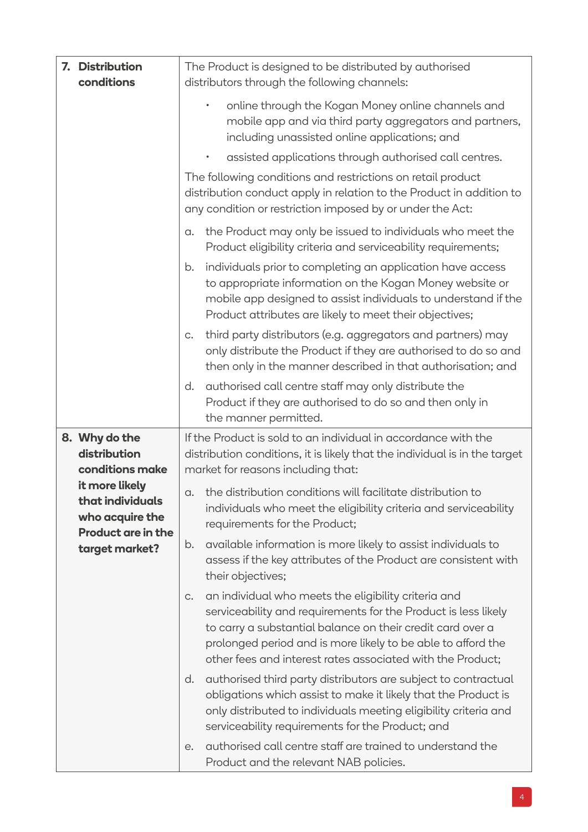| 7. Distribution<br>conditions                                                                                                                            | The Product is designed to be distributed by authorised<br>distributors through the following channels:                                                                                                                                                                                                                  |  |  |  |
|----------------------------------------------------------------------------------------------------------------------------------------------------------|--------------------------------------------------------------------------------------------------------------------------------------------------------------------------------------------------------------------------------------------------------------------------------------------------------------------------|--|--|--|
|                                                                                                                                                          | online through the Kogan Money online channels and<br>$\bullet$<br>mobile app and via third party aggregators and partners,<br>including unassisted online applications; and                                                                                                                                             |  |  |  |
|                                                                                                                                                          | assisted applications through authorised call centres.                                                                                                                                                                                                                                                                   |  |  |  |
|                                                                                                                                                          | The following conditions and restrictions on retail product<br>distribution conduct apply in relation to the Product in addition to<br>any condition or restriction imposed by or under the Act:                                                                                                                         |  |  |  |
|                                                                                                                                                          | the Product may only be issued to individuals who meet the<br>$\alpha$ .<br>Product eligibility criteria and serviceability requirements;                                                                                                                                                                                |  |  |  |
|                                                                                                                                                          | individuals prior to completing an application have access<br>b.<br>to appropriate information on the Kogan Money website or<br>mobile app designed to assist individuals to understand if the<br>Product attributes are likely to meet their objectives;                                                                |  |  |  |
|                                                                                                                                                          | third party distributors (e.g. aggregators and partners) may<br>$C_{\bullet}$<br>only distribute the Product if they are authorised to do so and<br>then only in the manner described in that authorisation; and                                                                                                         |  |  |  |
|                                                                                                                                                          | authorised call centre staff may only distribute the<br>d.<br>Product if they are authorised to do so and then only in<br>the manner permitted.                                                                                                                                                                          |  |  |  |
| 8. Why do the<br>distribution<br>conditions make<br>it more likely<br>that individuals<br>who acquire the<br><b>Product are in the</b><br>target market? | If the Product is sold to an individual in accordance with the<br>distribution conditions, it is likely that the individual is in the target<br>market for reasons including that:                                                                                                                                       |  |  |  |
|                                                                                                                                                          | a. the distribution conditions will facilitate distribution to<br>individuals who meet the eligibility criteria and serviceability<br>requirements for the Product;                                                                                                                                                      |  |  |  |
|                                                                                                                                                          | available information is more likely to assist individuals to<br>b.<br>assess if the key attributes of the Product are consistent with<br>their objectives;                                                                                                                                                              |  |  |  |
|                                                                                                                                                          | an individual who meets the eligibility criteria and<br>C.<br>serviceability and requirements for the Product is less likely<br>to carry a substantial balance on their credit card over a<br>prolonged period and is more likely to be able to afford the<br>other fees and interest rates associated with the Product; |  |  |  |
|                                                                                                                                                          | authorised third party distributors are subject to contractual<br>d.<br>obligations which assist to make it likely that the Product is<br>only distributed to individuals meeting eligibility criteria and<br>serviceability requirements for the Product; and                                                           |  |  |  |
|                                                                                                                                                          | authorised call centre staff are trained to understand the<br>e.<br>Product and the relevant NAB policies.                                                                                                                                                                                                               |  |  |  |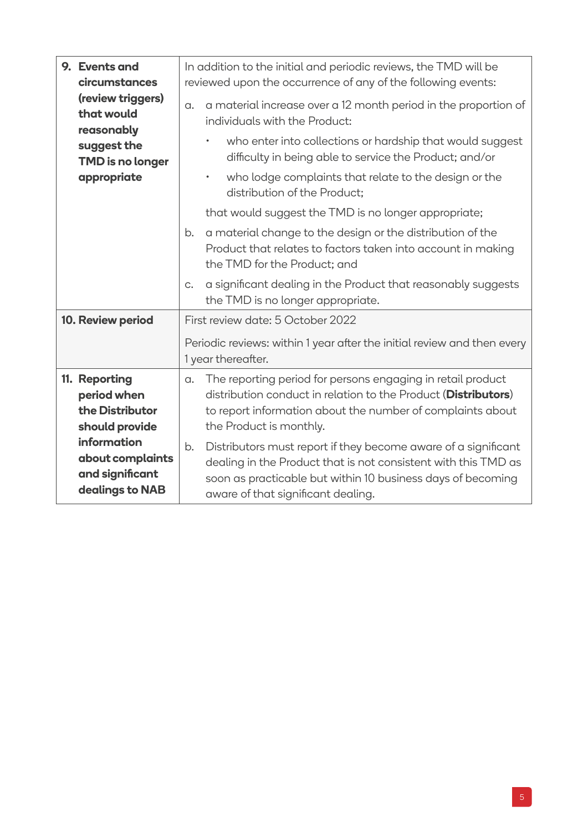|  | 9. Events and<br>circumstances<br>(review triggers)<br>that would<br>reasonably<br>suggest the<br><b>TMD</b> is no longer<br>appropriate   | In addition to the initial and periodic reviews, the TMD will be<br>reviewed upon the occurrence of any of the following events: |                                                                                                                                                                                                                                       |  |  |
|--|--------------------------------------------------------------------------------------------------------------------------------------------|----------------------------------------------------------------------------------------------------------------------------------|---------------------------------------------------------------------------------------------------------------------------------------------------------------------------------------------------------------------------------------|--|--|
|  |                                                                                                                                            | $\alpha$ .                                                                                                                       | a material increase over a 12 month period in the proportion of<br>individuals with the Product:                                                                                                                                      |  |  |
|  |                                                                                                                                            |                                                                                                                                  | who enter into collections or hardship that would suggest<br>$\bullet$<br>difficulty in being able to service the Product; and/or                                                                                                     |  |  |
|  |                                                                                                                                            |                                                                                                                                  | who lodge complaints that relate to the design or the<br>$\bullet$<br>distribution of the Product:                                                                                                                                    |  |  |
|  |                                                                                                                                            |                                                                                                                                  | that would suggest the TMD is no longer appropriate;                                                                                                                                                                                  |  |  |
|  |                                                                                                                                            | b.                                                                                                                               | a material change to the design or the distribution of the<br>Product that relates to factors taken into account in making<br>the TMD for the Product; and                                                                            |  |  |
|  |                                                                                                                                            | $C_{\bullet}$                                                                                                                    | a significant dealing in the Product that reasonably suggests<br>the TMD is no longer appropriate.                                                                                                                                    |  |  |
|  | 10. Review period                                                                                                                          |                                                                                                                                  | First review date: 5 October 2022                                                                                                                                                                                                     |  |  |
|  |                                                                                                                                            | Periodic reviews: within 1 year after the initial review and then every<br>1 year thereafter.                                    |                                                                                                                                                                                                                                       |  |  |
|  | 11. Reporting<br>period when<br>the Distributor<br>should provide<br>information<br>about complaints<br>and significant<br>dealings to NAB | a.                                                                                                                               | The reporting period for persons engaging in retail product<br>distribution conduct in relation to the Product (Distributors)<br>to report information about the number of complaints about<br>the Product is monthly.                |  |  |
|  |                                                                                                                                            | b.                                                                                                                               | Distributors must report if they become aware of a significant<br>dealing in the Product that is not consistent with this TMD as<br>soon as practicable but within 10 business days of becoming<br>aware of that significant dealing. |  |  |